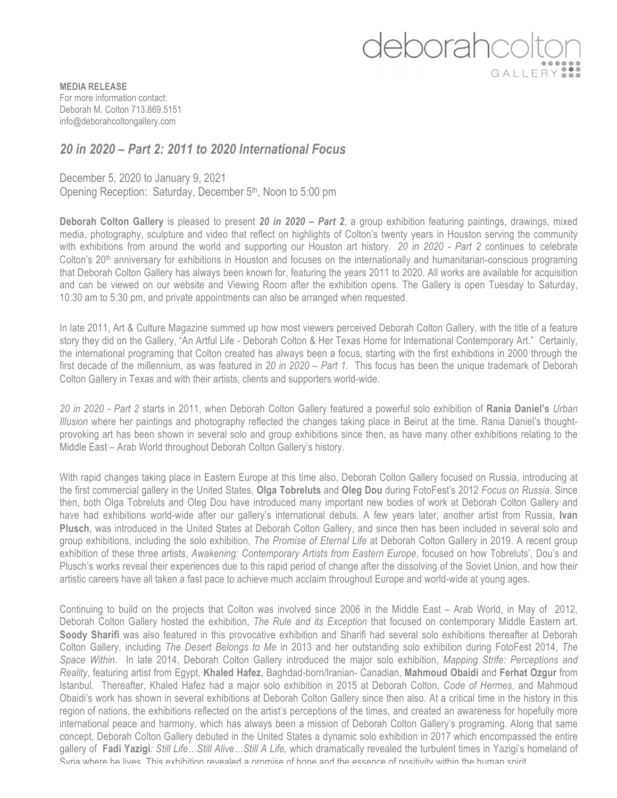## deborahcolt GALLERY

**MEDIA RELEASE** For more information contact: Deborah M. Colton 713.869.5151 info@deborahcoltongallery.com

## *20 in 2020 – Part 2: 2011 to 2020 International Focus*

December 5, 2020 to January 9, 2021

Opening Reception: Saturday, December 5<sup>th</sup>, Noon to 5:00 pm

**Deborah Colton Gallery** is pleased to present *20 in 2020 – Part 2*, a group exhibition featuring paintings, drawings, mixed media, photography, sculpture and video that reflect on highlights of Colton's twenty years in Houston serving the community with exhibitions from around the world and supporting our Houston art history. *20 in 2020 - Part 2* continues to celebrate Colton's 20<sup>th</sup> anniversary for exhibitions in Houston and focuses on the internationally and humanitarian-conscious programing that Deborah Colton Gallery has always been known for, featuring the years 2011 to 2020. All works are available for acquisition and can be viewed on our website and Viewing Room after the exhibition opens. The Gallery is open Tuesday to Saturday, 10:30 am to 5:30 pm, and private appointments can also be arranged when requested.

In late 2011, Art & Culture Magazine summed up how most viewers perceived Deborah Colton Gallery, with the title of a feature story they did on the Gallery, "An Artful Life - Deborah Colton & Her Texas Home for International Contemporary Art." Certainly, the international programing that Colton created has always been a focus, starting with the first exhibitions in 2000 through the first decade of the millennium, as was featured in *20 in 2020 – Part 1*. This focus has been the unique trademark of Deborah Colton Gallery in Texas and with their artists, clients and supporters world-wide.

*20 in 2020 - Part 2* starts in 2011, when Deborah Colton Gallery featured a powerful solo exhibition of **Rania Daniel's** *Urban Illusion* where her paintings and photography reflected the changes taking place in Beirut at the time. Rania Daniel's thoughtprovoking art has been shown in several solo and group exhibitions since then, as have many other exhibitions relating to the Middle East – Arab World throughout Deborah Colton Gallery's history.

With rapid changes taking place in Eastern Europe at this time also, Deborah Colton Gallery focused on Russia, introducing at the first commercial gallery in the United States, **Olga Tobreluts** and **Oleg Dou** during FotoFest's 2012 *Focus on Russia*. Since then, both Olga Tobreluts and Oleg Dou have introduced many important new bodies of work at Deborah Colton Gallery and have had exhibitions world-wide after our gallery's international debuts. A few years later, another artist from Russia, **Ivan Plusch**, was introduced in the United States at Deborah Colton Gallery, and since then has been included in several solo and group exhibitions, including the solo exhibition, *The Promise of Eternal Life* at Deborah Colton Gallery in 2019. A recent group exhibition of these three artists, *Awakening: Contemporary Artists from Eastern Europe*, focused on how Tobreluts', Dou's and Plusch's works reveal their experiences due to this rapid period of change after the dissolving of the Soviet Union, and how their artistic careers have all taken a fast pace to achieve much acclaim throughout Europe and world-wide at young ages.

Continuing to build on the projects that Colton was involved since 2006 in the Middle East – Arab World, in May of 2012, Deborah Colton Gallery hosted the exhibition, *The Rule and its Exception* that focused on contemporary Middle Eastern art. **Soody Sharifi** was also featured in this provocative exhibition and Sharifi had several solo exhibitions thereafter at Deborah Colton Gallery, including *The Desert Belongs to Me* in 2013 and her outstanding solo exhibition during FotoFest 2014, *The Space Within*. In late 2014, Deborah Colton Gallery introduced the major solo exhibition, *Mapping Strife: Perceptions and Reality*, featuring artist from Egypt, **Khaled Hafez**, Baghdad-born/Iranian- Canadian, **Mahmoud Obaidi** and **Ferhat Ozgur** from Istanbul. Thereafter, Khaled Hafez had a major solo exhibition in 2015 at Deborah Colton, *Code of Hermes*, and Mahmoud Obaidi's work has shown in several exhibitions at Deborah Colton Gallery since then also. At a critical time in the history in this region of nations, the exhibitions reflected on the artist's perceptions of the times, and created an awareness for hopefully more international peace and harmony, which has always been a mission of Deborah Colton Gallery's programing. Along that same concept, Deborah Colton Gallery debuted in the United States a dynamic solo exhibition in 2017 which encompassed the entire gallery of **Fadi Yazigi***: Still Life…Still Alive…Still A Life,* which dramatically revealed the turbulent times in Yazigi's homeland of Syria where he lives. This exhibition revealed a promise of hope and the essence of positivity within the human spirit.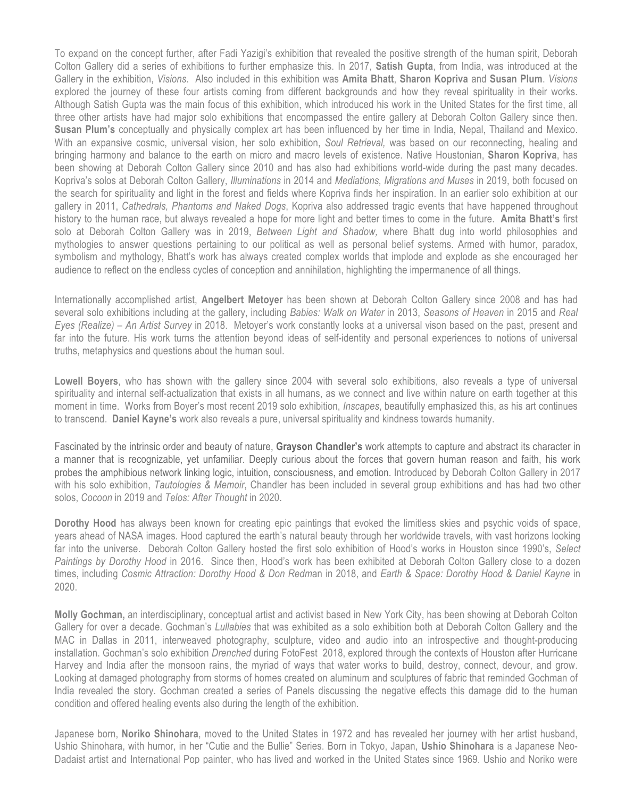To expand on the concept further, after Fadi Yazigi's exhibition that revealed the positive strength of the human spirit, Deborah Colton Gallery did a series of exhibitions to further emphasize this. In 2017, **Satish Gupta**, from India, was introduced at the Gallery in the exhibition, *Visions*. Also included in this exhibition was **Amita Bhatt**, **Sharon Kopriva** and **Susan Plum**. *Visions* explored the journey of these four artists coming from different backgrounds and how they reveal spirituality in their works. Although Satish Gupta was the main focus of this exhibition, which introduced his work in the United States for the first time, all three other artists have had major solo exhibitions that encompassed the entire gallery at Deborah Colton Gallery since then. **Susan Plum's** conceptually and physically complex art has been influenced by her time in India, Nepal, Thailand and Mexico. With an expansive cosmic, universal vision, her solo exhibition, *Soul Retrieval,* was based on our reconnecting, healing and bringing harmony and balance to the earth on micro and macro levels of existence. Native Houstonian, **Sharon Kopriva**, has been showing at Deborah Colton Gallery since 2010 and has also had exhibitions world-wide during the past many decades. Kopriva's solos at Deborah Colton Gallery, *Illuminations* in 2014 and *Mediations, Migrations and Muses* in 2019, both focused on the search for spirituality and light in the forest and fields where Kopriva finds her inspiration. In an earlier solo exhibition at our gallery in 2011, *Cathedrals, Phantoms and Naked Dogs*, Kopriva also addressed tragic events that have happened throughout history to the human race, but always revealed a hope for more light and better times to come in the future. **Amita Bhatt's** first solo at Deborah Colton Gallery was in 2019, *Between Light and Shadow,* where Bhatt dug into world philosophies and mythologies to answer questions pertaining to our political as well as personal belief systems. Armed with humor, paradox, symbolism and mythology, Bhatt's work has always created complex worlds that implode and explode as she encouraged her audience to reflect on the endless cycles of conception and annihilation, highlighting the impermanence of all things.

Internationally accomplished artist, **Angelbert Metoyer** has been shown at Deborah Colton Gallery since 2008 and has had several solo exhibitions including at the gallery, including *Babies: Walk on Water* in 2013, *Seasons of Heaven* in 2015 and *Real Eyes (Realize) – An Artist Survey* in 2018. Metoyer's work constantly looks at a universal vison based on the past, present and far into the future. His work turns the attention beyond ideas of self-identity and personal experiences to notions of universal truths, metaphysics and questions about the human soul.

**Lowell Boyers**, who has shown with the gallery since 2004 with several solo exhibitions, also reveals a type of universal spirituality and internal self-actualization that exists in all humans, as we connect and live within nature on earth together at this moment in time. Works from Boyer's most recent 2019 solo exhibition, *Inscapes*, beautifully emphasized this, as his art continues to transcend. **Daniel Kayne's** work also reveals a pure, universal spirituality and kindness towards humanity.

Fascinated by the intrinsic order and beauty of nature, **Grayson Chandler's** work attempts to capture and abstract its character in a manner that is recognizable, yet unfamiliar. Deeply curious about the forces that govern human reason and faith, his work probes the amphibious network linking logic, intuition, consciousness, and emotion. Introduced by Deborah Colton Gallery in 2017 with his solo exhibition, *Tautologies & Memoir*, Chandler has been included in several group exhibitions and has had two other solos, *Cocoon* in 2019 and *Telos: After Thought* in 2020.

**Dorothy Hood** has always been known for creating epic paintings that evoked the limitless skies and psychic voids of space, years ahead of NASA images. Hood captured the earth's natural beauty through her worldwide travels, with vast horizons looking far into the universe. Deborah Colton Gallery hosted the first solo exhibition of Hood's works in Houston since 1990's, *Select Paintings by Dorothy Hood* in 2016. Since then, Hood's work has been exhibited at Deborah Colton Gallery close to a dozen times, including *Cosmic Attraction: Dorothy Hood & Don Redm*an in 2018, and *Earth & Space: Dorothy Hood & Daniel Kayne* in 2020.

**Molly Gochman,** an interdisciplinary, conceptual artist and activist based in New York City, has been showing at Deborah Colton Gallery for over a decade. Gochman's *Lullabies* that was exhibited as a solo exhibition both at Deborah Colton Gallery and the MAC in Dallas in 2011, interweaved photography, sculpture, video and audio into an introspective and thought-producing installation. Gochman's solo exhibition *Drenched* during FotoFest 2018, explored through the contexts of Houston after Hurricane Harvey and India after the monsoon rains, the myriad of ways that water works to build, destroy, connect, devour, and grow. Looking at damaged photography from storms of homes created on aluminum and sculptures of fabric that reminded Gochman of India revealed the story. Gochman created a series of Panels discussing the negative effects this damage did to the human condition and offered healing events also during the length of the exhibition.

Japanese born, **Noriko Shinohara**, moved to the United States in 1972 and has revealed her journey with her artist husband, Ushio Shinohara, with humor, in her "Cutie and the Bullie" Series. Born in Tokyo, Japan, **Ushio Shinohara** is a Japanese Neo-Dadaist artist and International Pop painter, who has lived and worked in the United States since 1969. Ushio and Noriko were